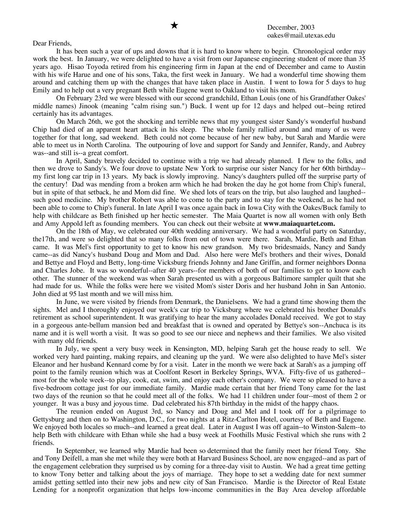## Dear Friends,

It has been such a year of ups and downs that it is hard to know where to begin. Chronological order may work the best. In January, we were delighted to have a visit from our Japanese engineering student of more than 35 years ago. Hisao Toyoda retired from his engineering firm in Japan at the end of December and came to Austin with his wife Harue and one of his sons, Taka, the first week in January. We had a wonderful time showing them around and catching them up with the changes that have taken place in Austin. I went to Iowa for 5 days to hug Emily and to help out a very pregnant Beth while Eugene went to Oakland to visit his mom.

On February 23rd we were blessed with our second grandchild, Ethan Louis (one of his Grandfather Oakes' middle names) Jinook (meaning "calm rising sun.") Buck. I went up for 12 days and helped out--being retired certainly has its advantages.

On March 26th, we got the shocking and terrible news that my youngest sister Sandy's wonderful husband Chip had died of an apparent heart attack in his sleep. The whole family rallied around and many of us were together for that long, sad weekend. Beth could not come because of her new baby, but Sarah and Mardie were able to meet us in North Carolina. The outpouring of love and support for Sandy and Jennifer, Randy, and Aubrey was--and still is--a great comfort.

In April, Sandy bravely decided to continue with a trip we had already planned. I flew to the folks, and then we drove to Sandy's. We four drove to upstate New York to surprise our sister Nancy for her 60th birthday- my first long car trip in 13 years. My back is slowly improving. Nancy's daughters pulled off the surprise party of the century! Dad was mending from a broken arm which he had broken the day he got home from Chip's funeral, but in spite of that setback, he and Mom did fine. We shed lots of tears on the trip, but also laughed and laughed- such good medicine. My brother Robert was able to come to the party and to stay for the weekend, as he had not been able to come to Chip's funeral. In late April I was once again back in Iowa City with the Oakes/Buck family to help with childcare as Beth finished up her hectic semester. The Maia Quartet is now all women with only Beth and Amy Appold left as founding members. You can check out their website at **www.maiaquartet.com.**

On the 18th of May, we celebrated our 40th wedding anniversary. We had a wonderful party on Saturday, the17th, and were so delighted that so many folks from out of town were there. Sarah, Mardie, Beth and Ethan came. It was Mel's first opportunity to get to know his new grandson. My two bridesmaids, Nancy and Sandy came--as did Nancy's husband Doug and Mom and Dad. Also here were Mel's brothers and their wives, Donald and Bettye and Floyd and Betty, long-time Vicksburg friends Johnny and Jane Griffin, and former neighbors Donna and Charles Jobe. It was so wonderful--after 40 years--for members of both of our families to get to know each other. The stunner of the weekend was when Sarah presented us with a gorgeous Baltimore sampler quilt that she had made for us. While the folks were here we visited Mom's sister Doris and her husband John in San Antonio. John died at 95 last month and we will miss him.

In June, we were visited by friends from Denmark, the Danielsens. We had a grand time showing them the sights. Mel and I thoroughly enjoyed our week's car trip to Vicksburg where we celebrated his brother Donald's retirement as school superintendent. It was gratifying to hear the many accolades Donald received. We got to stay in a gorgeous ante-bellum mansion bed and breakfast that is owned and operated by Bettye's son--Anchuca is its name and it is well worth a visit. It was so good to see our niece and nephews and their families. We also visited with many old friends.

In July, we spent a very busy week in Kensington, MD, helping Sarah get the house ready to sell. We worked very hard painting, making repairs, and cleaning up the yard. We were also delighted to have Mel's sister Eleanor and her husband Kennard come by for a visit. Later in the month we were back at Sarah's as a jumping off point to the family reunion which was at Coolfont Resort in Berkeley Springs, WVA. Fifty-five of us gathered- most for the whole week--to play, cook, eat, swim, and enjoy each other's company. We were so pleased to have a five-bedroom cottage just for our immediate family. Mardie made certain that her friend Tony came for the last two days of the reunion so that he could meet all of the folks. We had 11 children under four--most of them 2 or younger. It was a busy and joyous time. Dad celebrated his 87th birthday in the midst of the happy chaos.

The reunion ended on August 3rd, so Nancy and Doug and Mel and I took off for a pilgrimage to Gettysburg and then on to Washington, D.C., for two nights at a Ritz-Carlton Hotel, courtesy of Beth and Eugene. We enjoyed both locales so much--and learned a great deal. Later in August I was off again--to Winston-Salem--to help Beth with childcare with Ethan while she had a busy week at Foothills Music Festival which she runs with 2 friends.

In September, we learned why Mardie had been so determined that the family meet her friend Tony. She and Tony Deifell, a man she met while they were both at Harvard Business School, are now engaged--and as part of the engagement celebration they surprised us by coming for a three-day visit to Austin. We had a great time getting to know Tony better and talking about the joys of marriage. They hope to set a wedding date for next summer amidst getting settled into their new jobs and new city of San Francisco. Mardie is the Director of Real Estate Lending for a nonprofit organization that helps low-income communities in the Bay Area develop affordable